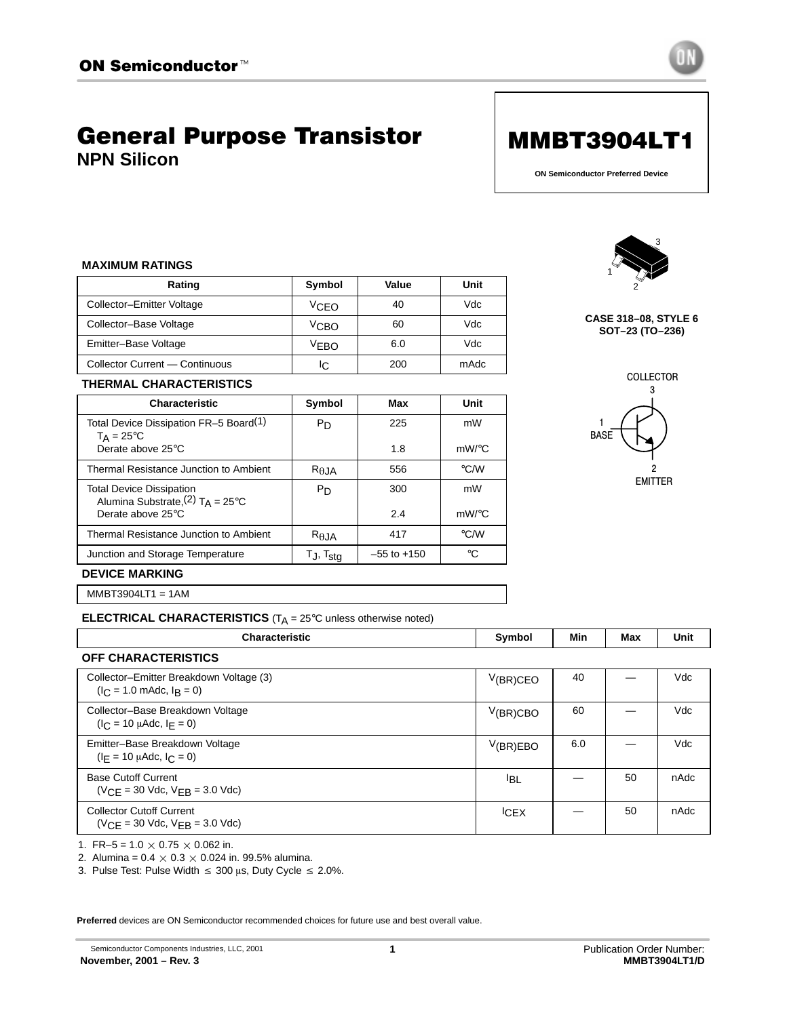# General Purpose Transistor **NPN Silicon**



**ON Semiconductor Preferred Device**

### **MAXIMUM RATINGS**

| Rating                         | Symbol | Value | Unit |
|--------------------------------|--------|-------|------|
| Collector-Emitter Voltage      | ∨c⊧o   | 40    | Vdc  |
| Collector-Base Voltage         | ⊻сво   | 60    | Vdc  |
| Emitter-Base Voltage           | VFBO   | 6.0   | Vdc  |
| Collector Current - Continuous | IC.    | 200   | mAdc |



#### **CASE 318–08, STYLE 6 SOT–23 (TO–236)**

COLLECTOR

# **THERMAL CHARACTERISTICS**

| <b>Characteristic</b>                                                             | Symbol               | Max             | Unit          |
|-----------------------------------------------------------------------------------|----------------------|-----------------|---------------|
| Total Device Dissipation FR-5 Board <sup>(1)</sup><br>$T_A = 25^{\circ}C$         | P <sub>D</sub>       | 225             | mW            |
| Derate above 25°C                                                                 |                      | 1.8             | $mW$ /°C      |
| Thermal Resistance Junction to Ambient                                            | R <sub>AJA</sub>     | 556             | $\degree$ C/W |
| <b>Total Device Dissipation</b><br>Alumina Substrate, $(2)$ T <sub>A</sub> = 25°C | P <sub>D</sub>       | 300             | mW            |
| Derate above 25°C                                                                 |                      | 2.4             | $mW$ /°C      |
| Thermal Resistance Junction to Ambient                                            | $R_{\theta}$ JA      | 417             | $\degree$ C/W |
| Junction and Storage Temperature                                                  | T., T <sub>sta</sub> | $-55$ to $+150$ | °C            |



EMITTER

#### **DEVICE MARKING**

MMBT3904LT1 = 1AM

**ELECTRICAL CHARACTERISTICS** (T<sub>A</sub> = 25°C unless otherwise noted)

| <b>Characteristic</b>                                                              | Symbol          | Min | Max | Unit |
|------------------------------------------------------------------------------------|-----------------|-----|-----|------|
| <b>OFF CHARACTERISTICS</b>                                                         |                 |     |     |      |
| Collector-Emitter Breakdown Voltage (3)<br>$(I_C = 1.0 \text{ m}$ Adc, $I_R = 0$ ) | V(BR)CEO        | 40  |     | Vdc  |
| Collector-Base Breakdown Voltage<br>$(I_C = 10 \mu A dC, I_F = 0)$                 | V(BR)CBO        | 60  |     | Vdc  |
| Emitter-Base Breakdown Voltage<br>$(I_E = 10 \mu A d c, I_C = 0)$                  | V(BR)EBO        | 6.0 |     | Vdc  |
| <b>Base Cutoff Current</b><br>$(VCE = 30$ Vdc, $VEB = 3.0$ Vdc)                    | <sup>I</sup> BL |     | 50  | nAdc |
| <b>Collector Cutoff Current</b><br>$(VCF = 30$ Vdc, $VFR = 3.0$ Vdc)               | <b>ICEX</b>     |     | 50  | nAdc |

1. FR-5 =  $1.0 \times 0.75 \times 0.062$  in.

2. Alumina =  $0.4 \times 0.3 \times 0.024$  in. 99.5% alumina.

3. Pulse Test: Pulse Width  $\leq 300$   $\mu$ s, Duty Cycle  $\leq 2.0\%$ .

**Preferred** devices are ON Semiconductor recommended choices for future use and best overall value.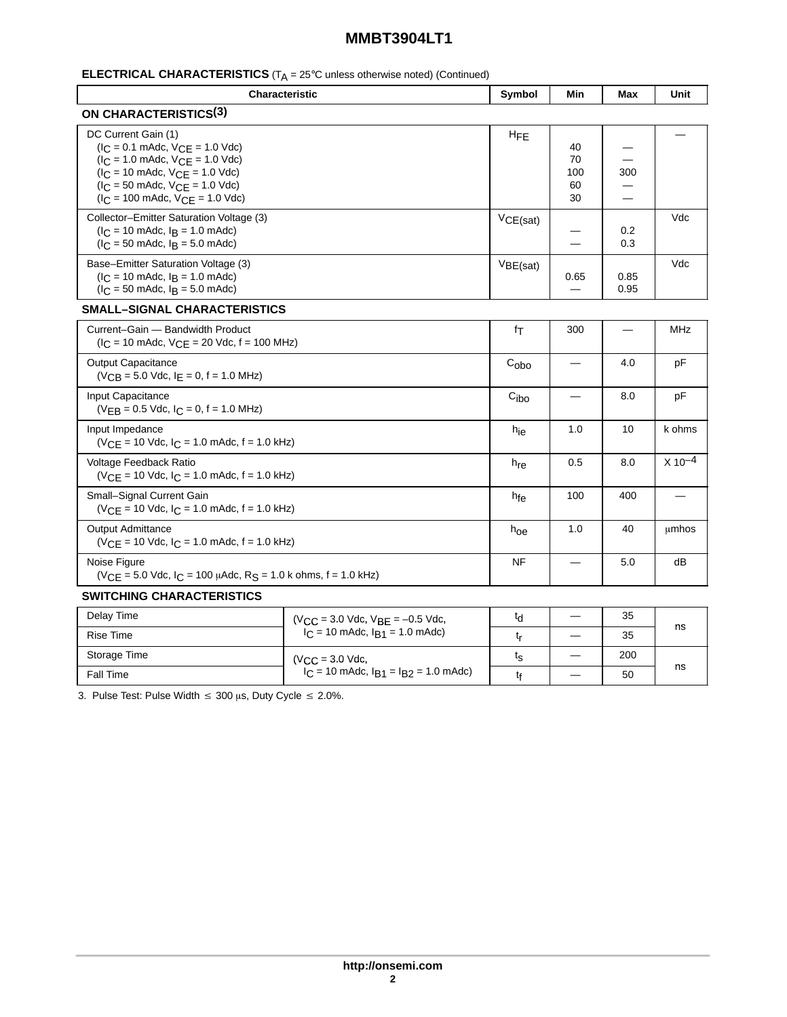| <b>ELECTRICAL CHARACTERISTICS</b> ( $T_A = 25^\circ$ C unless otherwise noted) (Continued) |  |
|--------------------------------------------------------------------------------------------|--|
|--------------------------------------------------------------------------------------------|--|

| Characteristic                                                                                                                                                                                                                                                                                             |                                         | Symbol           | Min                         | Max          | Unit        |
|------------------------------------------------------------------------------------------------------------------------------------------------------------------------------------------------------------------------------------------------------------------------------------------------------------|-----------------------------------------|------------------|-----------------------------|--------------|-------------|
| <b>ON CHARACTERISTICS(3)</b>                                                                                                                                                                                                                                                                               |                                         |                  |                             |              |             |
| DC Current Gain (1)<br>$(I_C = 0.1 \text{ m}$ Adc, $V_{CE} = 1.0 \text{ V}$ dc)<br>$(I_C = 1.0 \text{ m}$ Adc, $V_{CE} = 1.0 \text{ V}$ dc)<br>$I_C = 10$ mAdc, $V_{CE} = 1.0$ Vdc)<br>$(I_C = 50 \text{ m}$ Adc, $V_{CE} = 1.0 \text{ V}$ dc)<br>$(I_C = 100 \text{ m}$ Adc, $V_{CE} = 1.0 \text{ V}$ dc) |                                         | <b>HFE</b>       | 40<br>70<br>100<br>60<br>30 | 300          |             |
| Collector-Emitter Saturation Voltage (3)<br>$(I_C = 10 \text{ m}$ Adc, $I_B = 1.0 \text{ m}$ Adc)<br>$(l_C = 50 \text{ m}$ Adc, $l_B = 5.0 \text{ m}$ Adc)                                                                                                                                                 |                                         | VCE(sat)         |                             | 0.2<br>0.3   | Vdc         |
| Base-Emitter Saturation Voltage (3)<br>$(I_C = 10 \text{ m}$ Adc, $I_B = 1.0 \text{ m}$ Adc)<br>$(1C = 50$ mAdc, $1B = 5.0$ mAdc)                                                                                                                                                                          |                                         | VBE(sat)         | 0.65                        | 0.85<br>0.95 | Vdc         |
| <b>SMALL-SIGNAL CHARACTERISTICS</b>                                                                                                                                                                                                                                                                        |                                         |                  |                             |              |             |
| Current-Gain - Bandwidth Product<br>$(I_C = 10 \text{ m}$ Adc, $V_{CE} = 20 \text{ Vdc}$ , f = 100 MHz)                                                                                                                                                                                                    |                                         | fτ               | 300                         |              | <b>MHz</b>  |
| <b>Output Capacitance</b><br>$(V_{CB} = 5.0$ Vdc, $I_E = 0$ , $f = 1.0$ MHz)                                                                                                                                                                                                                               |                                         | C <sub>obo</sub> |                             | 4.0          | pF          |
| Input Capacitance<br>$(V_{FB} = 0.5$ Vdc, $I_C = 0$ , f = 1.0 MHz)                                                                                                                                                                                                                                         |                                         | C <sub>ibo</sub> |                             | 8.0          | pF          |
| Input Impedance<br>$(VCF = 10$ Vdc, $IC = 1.0$ mAdc, $f = 1.0$ kHz)                                                                                                                                                                                                                                        |                                         | h <sub>ie</sub>  | 1.0                         | 10           | k ohms      |
| Voltage Feedback Ratio<br>$(VCF = 10$ Vdc, $IC = 1.0$ mAdc, $f = 1.0$ kHz)                                                                                                                                                                                                                                 |                                         | $h_{\text{re}}$  | 0.5                         | 8.0          | $X 10^{-4}$ |
| Small-Signal Current Gain<br>$(VCE = 10$ Vdc, $IC = 1.0$ mAdc, $f = 1.0$ kHz)                                                                                                                                                                                                                              |                                         | hfe              | 100                         | 400          |             |
| <b>Output Admittance</b><br>$(VCF = 10$ Vdc, $IC = 1.0$ mAdc, $f = 1.0$ kHz)                                                                                                                                                                                                                               |                                         | $h_{\text{O}e}$  | 1.0                         | 40           | umhos       |
| Noise Figure<br>$(VCE = 5.0$ Vdc, $IC = 100$ µAdc, R <sub>S</sub> = 1.0 k ohms, f = 1.0 kHz)                                                                                                                                                                                                               |                                         | <b>NF</b>        |                             | 5.0          | dB          |
| <b>SWITCHING CHARACTERISTICS</b>                                                                                                                                                                                                                                                                           |                                         |                  |                             |              |             |
| Delay Time                                                                                                                                                                                                                                                                                                 | $N_{00} = 3.0$ $N_{00} = -0.5$ $N_{00}$ | $t_{\mathsf{d}}$ |                             | 35           |             |

| Delay Time   | $(V_{CC} = 3.0$ Vdc, $V_{BE} = -0.5$ Vdc,      | เศ | 35  |    |
|--------------|------------------------------------------------|----|-----|----|
| Rise Time    | $I_C = 10$ mAdc, $I_{B1} = 1.0$ mAdc)          |    | 35  | ns |
| Storage Time | $(V_{\rm CC} = 3.0$ Vdc,                       | ເຊ | 200 |    |
| Fall Time    | $I_C = 10$ mAdc, $I_{B1} = I_{B2} = 1.0$ mAdc) |    | 50  | ns |

3. Pulse Test: Pulse Width  $\leq 300$   $\mu$ s, Duty Cycle  $\leq 2.0\%$ .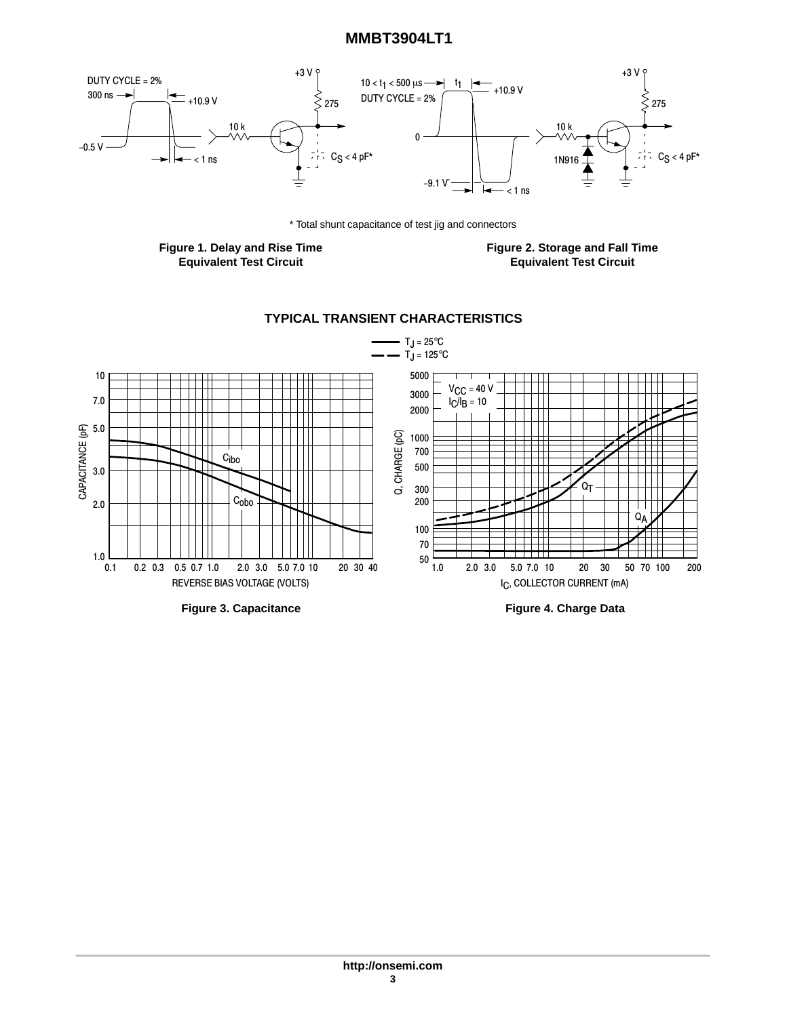

\* Total shunt capacitance of test jig and connectors

**Figure 1. Delay and Rise Time Equivalent Test Circuit**

**Figure 2. Storage and Fall Time Equivalent Test Circuit**

## **TYPICAL TRANSIENT CHARACTERISTICS**



**Figure 3. Capacitance**

**Figure 4. Charge Data**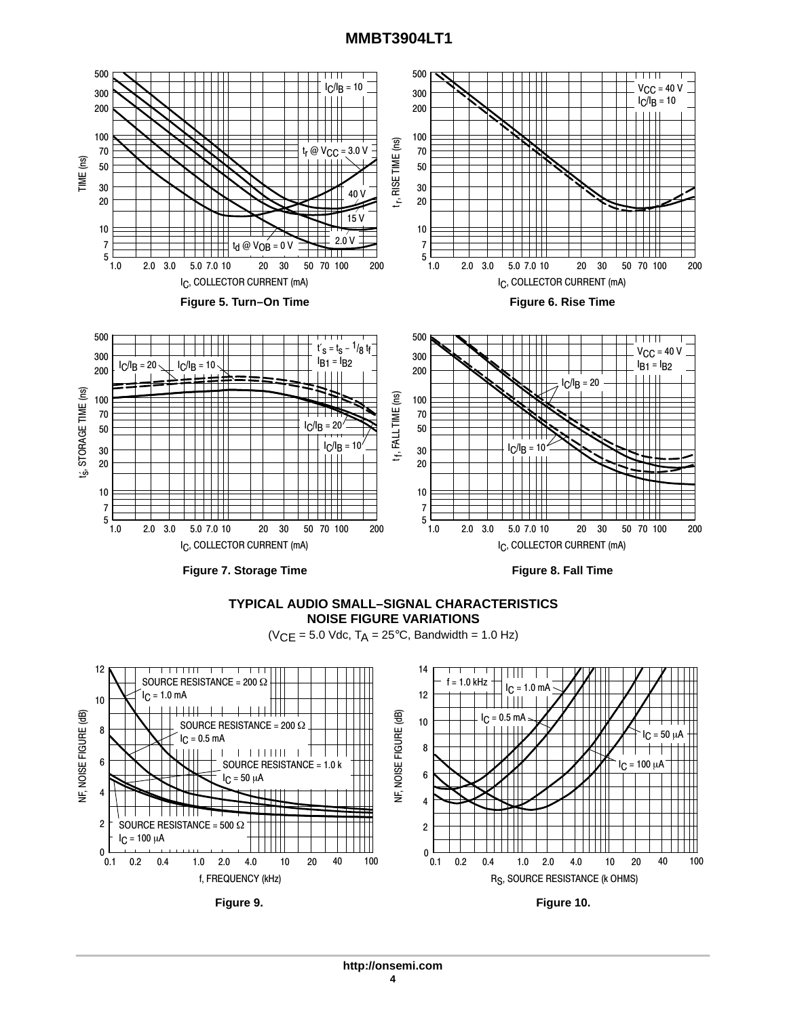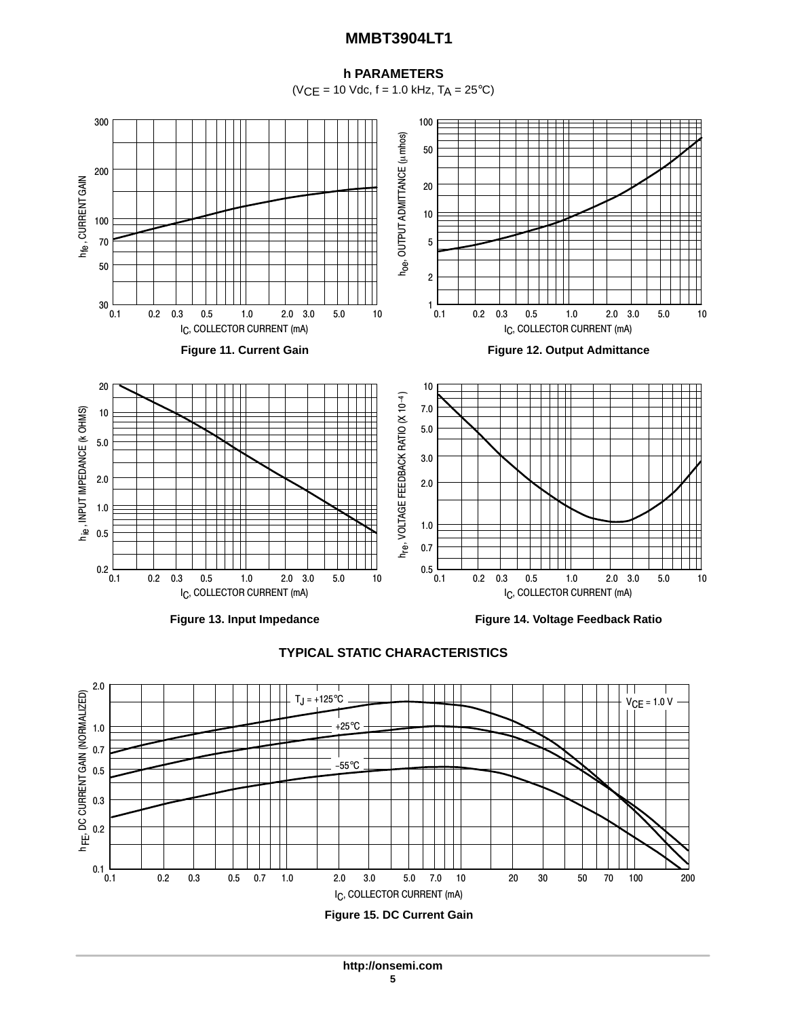## **h PARAMETERS**

 $(VCE = 10$  Vdc,  $f = 1.0$  kHz,  $T_A = 25$ °C)





**TYPICAL STATIC CHARACTERISTICS**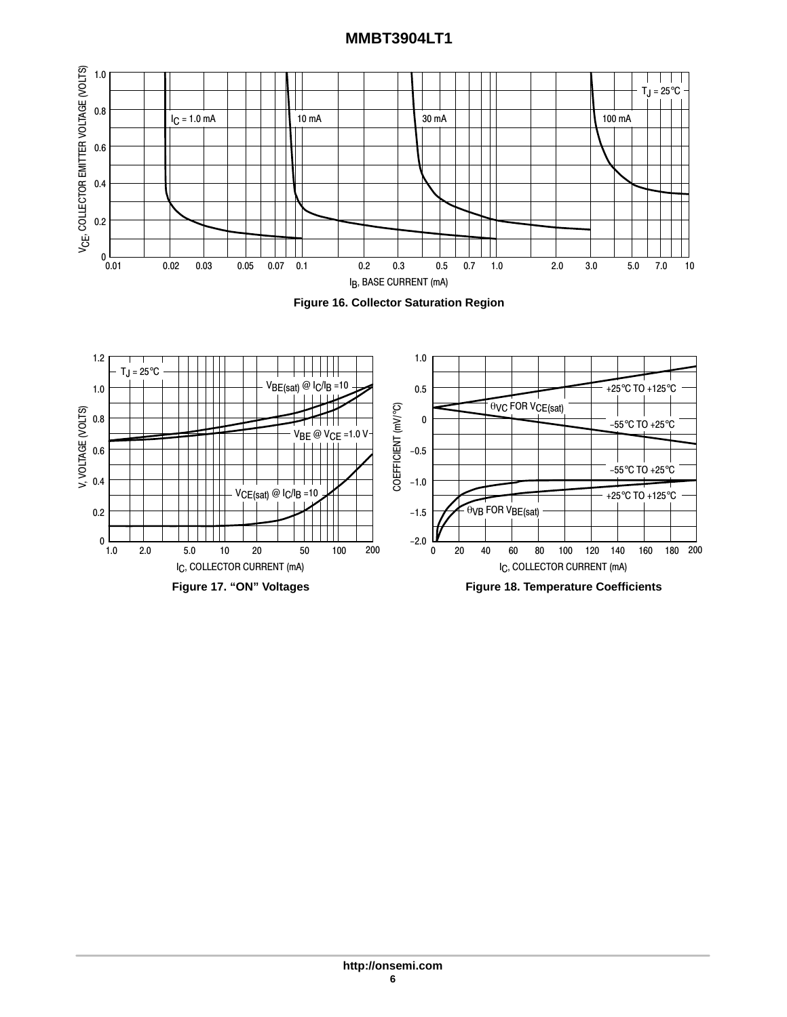



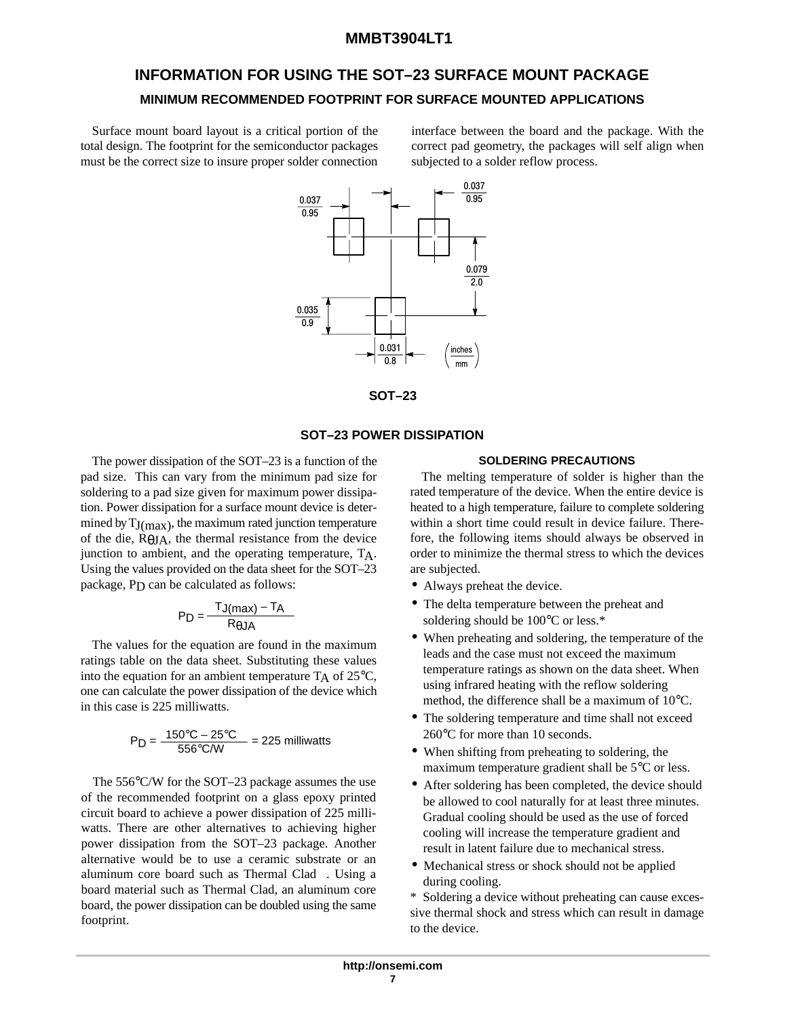# **INFORMATION FOR USING THE SOT–23 SURFACE MOUNT PACKAGE MINIMUM RECOMMENDED FOOTPRINT FOR SURFACE MOUNTED APPLICATIONS**

Surface mount board layout is a critical portion of the total design. The footprint for the semiconductor packages must be the correct size to insure proper solder connection

interface between the board and the package. With the correct pad geometry, the packages will self align when subjected to a solder reflow process.





### **SOT–23 POWER DISSIPATION**

The power dissipation of the SOT–23 is a function of the pad size. This can vary from the minimum pad size for soldering to a pad size given for maximum power dissipation. Power dissipation for a surface mount device is determined by  $T_{\rm J(max)}$ , the maximum rated junction temperature of the die, RθJA, the thermal resistance from the device junction to ambient, and the operating temperature, TA. Using the values provided on the data sheet for the SOT–23 package, P<sub>D</sub> can be calculated as follows:

$$
P_D = \frac{T_J(max) - T_A}{R_{\theta J A}}
$$

The values for the equation are found in the maximum ratings table on the data sheet. Substituting these values into the equation for an ambient temperature  $T_A$  of 25 $\degree$ C, one can calculate the power dissipation of the device which in this case is 225 milliwatts.

$$
P_D = \frac{150^{\circ}C - 25^{\circ}C}{556^{\circ}C/W} = 225 \text{ milliwatts}
$$

The 556°C/W for the SOT–23 package assumes the use of the recommended footprint on a glass epoxy printed circuit board to achieve a power dissipation of 225 milliwatts. There are other alternatives to achieving higher power dissipation from the SOT–23 package. Another alternative would be to use a ceramic substrate or an aluminum core board such as Thermal Clad<sup>™</sup>. Using a board material such as Thermal Clad, an aluminum core board, the power dissipation can be doubled using the same footprint.

#### **SOLDERING PRECAUTIONS**

The melting temperature of solder is higher than the rated temperature of the device. When the entire device is heated to a high temperature, failure to complete soldering within a short time could result in device failure. Therefore, the following items should always be observed in order to minimize the thermal stress to which the devices are subjected.

- Always preheat the device.
- The delta temperature between the preheat and soldering should be 100°C or less.\*
- When preheating and soldering, the temperature of the leads and the case must not exceed the maximum temperature ratings as shown on the data sheet. When using infrared heating with the reflow soldering method, the difference shall be a maximum of 10°C.
- The soldering temperature and time shall not exceed 260°C for more than 10 seconds.
- When shifting from preheating to soldering, the maximum temperature gradient shall be 5°C or less.
- After soldering has been completed, the device should be allowed to cool naturally for at least three minutes. Gradual cooling should be used as the use of forced cooling will increase the temperature gradient and result in latent failure due to mechanical stress.
- Mechanical stress or shock should not be applied during cooling.

\* Soldering a device without preheating can cause excessive thermal shock and stress which can result in damage to the device.